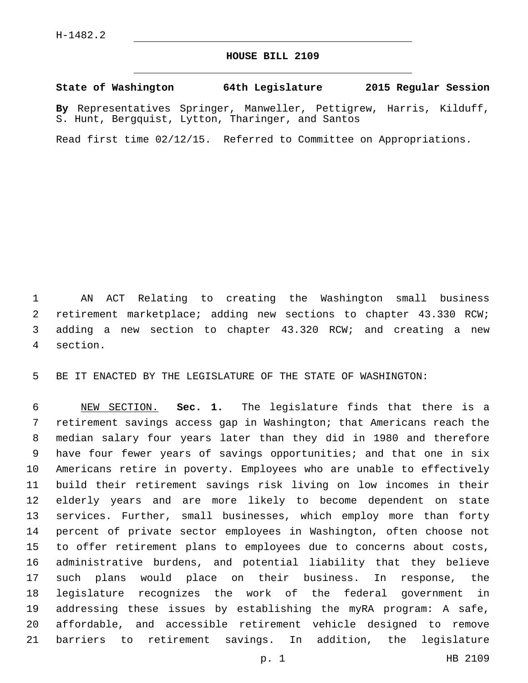## **HOUSE BILL 2109**

## **State of Washington 64th Legislature 2015 Regular Session**

**By** Representatives Springer, Manweller, Pettigrew, Harris, Kilduff, S. Hunt, Bergquist, Lytton, Tharinger, and Santos

Read first time 02/12/15. Referred to Committee on Appropriations.

 AN ACT Relating to creating the Washington small business retirement marketplace; adding new sections to chapter 43.330 RCW; adding a new section to chapter 43.320 RCW; and creating a new section.4

BE IT ENACTED BY THE LEGISLATURE OF THE STATE OF WASHINGTON:

 NEW SECTION. **Sec. 1.** The legislature finds that there is a retirement savings access gap in Washington; that Americans reach the median salary four years later than they did in 1980 and therefore have four fewer years of savings opportunities; and that one in six Americans retire in poverty. Employees who are unable to effectively build their retirement savings risk living on low incomes in their elderly years and are more likely to become dependent on state services. Further, small businesses, which employ more than forty percent of private sector employees in Washington, often choose not to offer retirement plans to employees due to concerns about costs, administrative burdens, and potential liability that they believe such plans would place on their business. In response, the legislature recognizes the work of the federal government in addressing these issues by establishing the myRA program: A safe, affordable, and accessible retirement vehicle designed to remove barriers to retirement savings. In addition, the legislature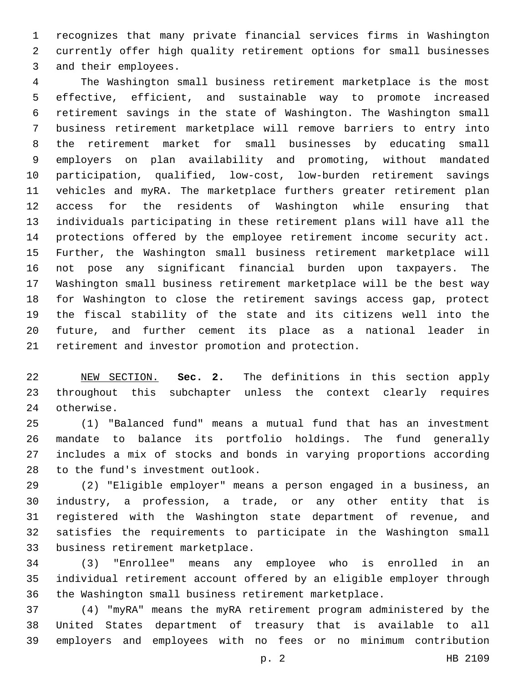recognizes that many private financial services firms in Washington currently offer high quality retirement options for small businesses 3 and their employees.

 The Washington small business retirement marketplace is the most effective, efficient, and sustainable way to promote increased retirement savings in the state of Washington. The Washington small business retirement marketplace will remove barriers to entry into the retirement market for small businesses by educating small employers on plan availability and promoting, without mandated participation, qualified, low-cost, low-burden retirement savings vehicles and myRA. The marketplace furthers greater retirement plan access for the residents of Washington while ensuring that individuals participating in these retirement plans will have all the protections offered by the employee retirement income security act. Further, the Washington small business retirement marketplace will not pose any significant financial burden upon taxpayers. The Washington small business retirement marketplace will be the best way for Washington to close the retirement savings access gap, protect the fiscal stability of the state and its citizens well into the future, and further cement its place as a national leader in 21 retirement and investor promotion and protection.

 NEW SECTION. **Sec. 2.** The definitions in this section apply throughout this subchapter unless the context clearly requires otherwise.

 (1) "Balanced fund" means a mutual fund that has an investment mandate to balance its portfolio holdings. The fund generally includes a mix of stocks and bonds in varying proportions according 28 to the fund's investment outlook.

 (2) "Eligible employer" means a person engaged in a business, an industry, a profession, a trade, or any other entity that is registered with the Washington state department of revenue, and satisfies the requirements to participate in the Washington small 33 business retirement marketplace.

 (3) "Enrollee" means any employee who is enrolled in an individual retirement account offered by an eligible employer through the Washington small business retirement marketplace.

 (4) "myRA" means the myRA retirement program administered by the United States department of treasury that is available to all employers and employees with no fees or no minimum contribution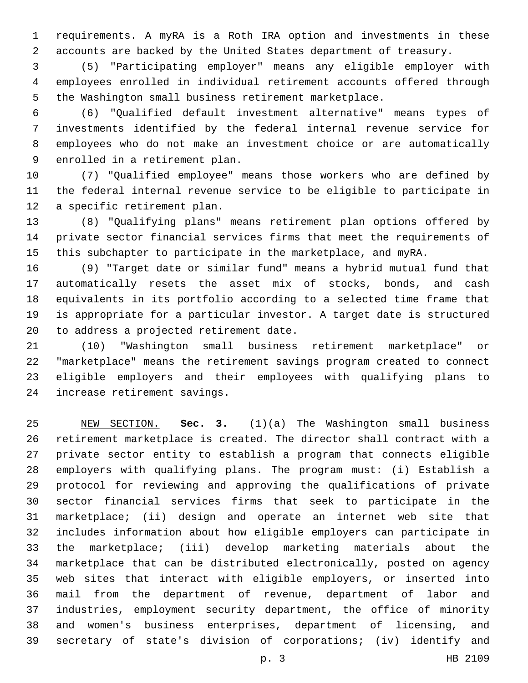requirements. A myRA is a Roth IRA option and investments in these accounts are backed by the United States department of treasury.

 (5) "Participating employer" means any eligible employer with employees enrolled in individual retirement accounts offered through the Washington small business retirement marketplace.

 (6) "Qualified default investment alternative" means types of investments identified by the federal internal revenue service for employees who do not make an investment choice or are automatically 9 enrolled in a retirement plan.

 (7) "Qualified employee" means those workers who are defined by the federal internal revenue service to be eligible to participate in 12 a specific retirement plan.

 (8) "Qualifying plans" means retirement plan options offered by private sector financial services firms that meet the requirements of this subchapter to participate in the marketplace, and myRA.

 (9) "Target date or similar fund" means a hybrid mutual fund that automatically resets the asset mix of stocks, bonds, and cash equivalents in its portfolio according to a selected time frame that is appropriate for a particular investor. A target date is structured 20 to address a projected retirement date.

 (10) "Washington small business retirement marketplace" or "marketplace" means the retirement savings program created to connect eligible employers and their employees with qualifying plans to 24 increase retirement savings.

 NEW SECTION. **Sec. 3.** (1)(a) The Washington small business retirement marketplace is created. The director shall contract with a private sector entity to establish a program that connects eligible employers with qualifying plans. The program must: (i) Establish a protocol for reviewing and approving the qualifications of private sector financial services firms that seek to participate in the marketplace; (ii) design and operate an internet web site that includes information about how eligible employers can participate in the marketplace; (iii) develop marketing materials about the marketplace that can be distributed electronically, posted on agency web sites that interact with eligible employers, or inserted into mail from the department of revenue, department of labor and industries, employment security department, the office of minority and women's business enterprises, department of licensing, and secretary of state's division of corporations; (iv) identify and

p. 3 HB 2109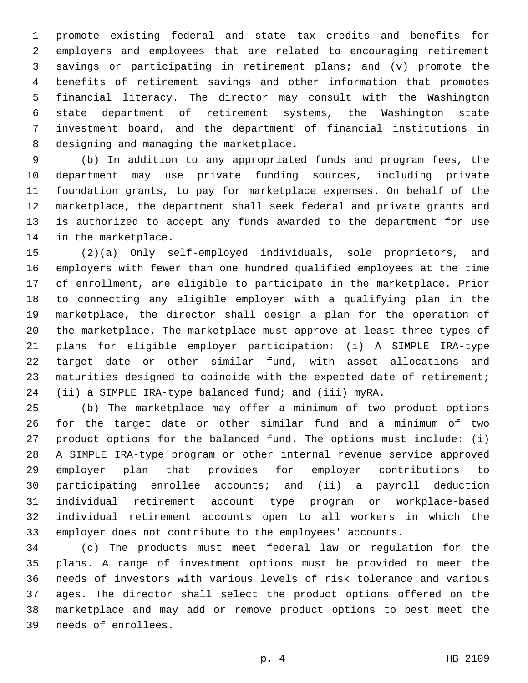promote existing federal and state tax credits and benefits for employers and employees that are related to encouraging retirement savings or participating in retirement plans; and (v) promote the benefits of retirement savings and other information that promotes financial literacy. The director may consult with the Washington state department of retirement systems, the Washington state investment board, and the department of financial institutions in 8 designing and managing the marketplace.

 (b) In addition to any appropriated funds and program fees, the department may use private funding sources, including private foundation grants, to pay for marketplace expenses. On behalf of the marketplace, the department shall seek federal and private grants and is authorized to accept any funds awarded to the department for use 14 in the marketplace.

 (2)(a) Only self-employed individuals, sole proprietors, and employers with fewer than one hundred qualified employees at the time of enrollment, are eligible to participate in the marketplace. Prior to connecting any eligible employer with a qualifying plan in the marketplace, the director shall design a plan for the operation of the marketplace. The marketplace must approve at least three types of plans for eligible employer participation: (i) A SIMPLE IRA-type target date or other similar fund, with asset allocations and maturities designed to coincide with the expected date of retirement; (ii) a SIMPLE IRA-type balanced fund; and (iii) myRA.

 (b) The marketplace may offer a minimum of two product options for the target date or other similar fund and a minimum of two product options for the balanced fund. The options must include: (i) A SIMPLE IRA-type program or other internal revenue service approved employer plan that provides for employer contributions to participating enrollee accounts; and (ii) a payroll deduction individual retirement account type program or workplace-based individual retirement accounts open to all workers in which the employer does not contribute to the employees' accounts.

 (c) The products must meet federal law or regulation for the plans. A range of investment options must be provided to meet the needs of investors with various levels of risk tolerance and various ages. The director shall select the product options offered on the marketplace and may add or remove product options to best meet the needs of enrollees.39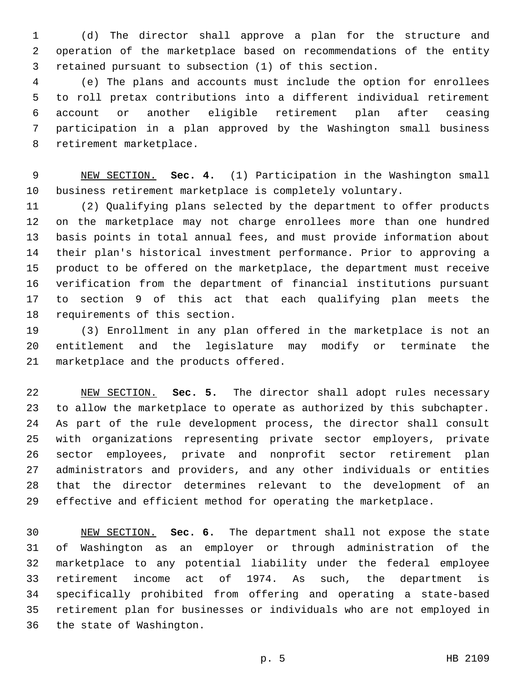(d) The director shall approve a plan for the structure and operation of the marketplace based on recommendations of the entity retained pursuant to subsection (1) of this section.

 (e) The plans and accounts must include the option for enrollees to roll pretax contributions into a different individual retirement account or another eligible retirement plan after ceasing participation in a plan approved by the Washington small business 8 retirement marketplace.

 NEW SECTION. **Sec. 4.** (1) Participation in the Washington small business retirement marketplace is completely voluntary.

 (2) Qualifying plans selected by the department to offer products on the marketplace may not charge enrollees more than one hundred basis points in total annual fees, and must provide information about their plan's historical investment performance. Prior to approving a product to be offered on the marketplace, the department must receive verification from the department of financial institutions pursuant to section 9 of this act that each qualifying plan meets the 18 requirements of this section.

 (3) Enrollment in any plan offered in the marketplace is not an entitlement and the legislature may modify or terminate the 21 marketplace and the products offered.

 NEW SECTION. **Sec. 5.** The director shall adopt rules necessary to allow the marketplace to operate as authorized by this subchapter. As part of the rule development process, the director shall consult with organizations representing private sector employers, private sector employees, private and nonprofit sector retirement plan administrators and providers, and any other individuals or entities that the director determines relevant to the development of an effective and efficient method for operating the marketplace.

 NEW SECTION. **Sec. 6.** The department shall not expose the state of Washington as an employer or through administration of the marketplace to any potential liability under the federal employee retirement income act of 1974. As such, the department is specifically prohibited from offering and operating a state-based retirement plan for businesses or individuals who are not employed in the state of Washington.